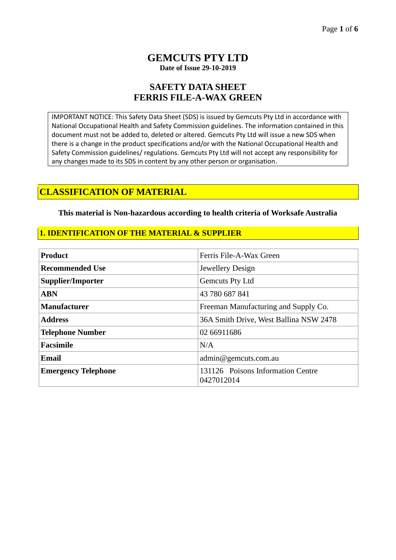## **GEMCUTS PTY LTD Date of Issue 29-10-2019**

## **SAFETY DATA SHEET FERRIS FILE-A-WAX GREEN**

IMPORTANT NOTICE: This Safety Data Sheet (SDS) is issued by Gemcuts Pty Ltd in accordance with National Occupational Health and Safety Commission guidelines. The information contained in this document must not be added to, deleted or altered. Gemcuts Pty Ltd will issue a new SDS when there is a change in the product specifications and/or with the National Occupational Health and Safety Commission guidelines/ regulations. Gemcuts Pty Ltd will not accept any responsibility for any changes made to its SDS in content by any other person or organisation.

## **CLASSIFICATION OF MATERIAL**

**This material is Non-hazardous according to health criteria of Worksafe Australia**

### **1. IDENTIFICATION OF THE MATERIAL & SUPPLIER**

| <b>Product</b>             | Ferris File-A-Wax Green                         |  |
|----------------------------|-------------------------------------------------|--|
| <b>Recommended Use</b>     | Jewellery Design                                |  |
| Supplier/Importer          | Gemcuts Pty Ltd                                 |  |
| <b>ABN</b>                 | 43 780 687 841                                  |  |
| <b>Manufacturer</b>        | Freeman Manufacturing and Supply Co.            |  |
| <b>Address</b>             | 36A Smith Drive, West Ballina NSW 2478          |  |
| <b>Telephone Number</b>    | 02 66911686                                     |  |
| <b>Facsimile</b>           | N/A                                             |  |
| <b>Email</b>               | admin@gemcuts.com.au                            |  |
| <b>Emergency Telephone</b> | 131126 Poisons Information Centre<br>0427012014 |  |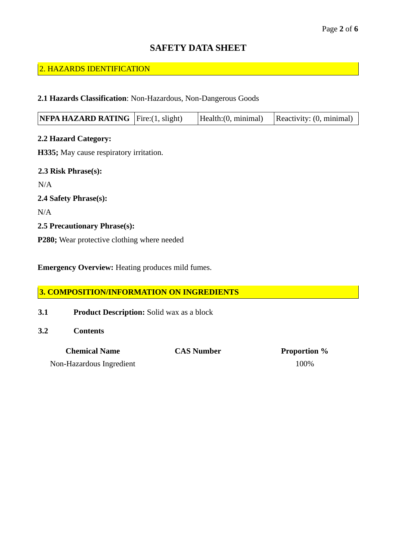# **SAFETY DATA SHEET**

### 2. HAZARDS IDENTIFICATION

### **2.1 Hazards Classification**: Non-Hazardous, Non-Dangerous Goods

| <b>NFPA HAZARD RATING</b> $\left  \text{Fire:}(1, \text{slight}) \right $ |  | [Health:(0, minimal)] | Reactivity: (0, minimal) |
|---------------------------------------------------------------------------|--|-----------------------|--------------------------|
|---------------------------------------------------------------------------|--|-----------------------|--------------------------|

**2.2 Hazard Category: H335;** May cause respiratory irritation. **2.3 Risk Phrase(s):**  N/A **2.4 Safety Phrase(s):** N/A **2.5 Precautionary Phrase(s):** 

**P280;** Wear protective clothing where needed

**Emergency Overview:** Heating produces mild fumes.

### **3. COMPOSITION/INFORMATION ON INGREDIENTS**

- **3.1 Product Description:** Solid wax as a block
- **3.2 Contents**

| <b>Chemical Name</b>     | <b>CAS Number</b> | <b>Proportion</b> % |
|--------------------------|-------------------|---------------------|
| Non-Hazardous Ingredient |                   | 100\%               |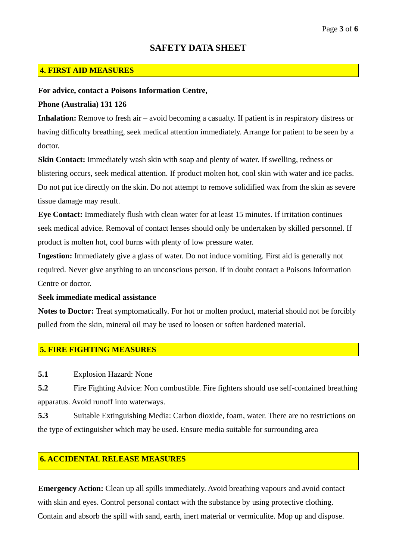### **4. FIRST AID MEASURES**

#### **For advice, contact a Poisons Information Centre,**

### **Phone (Australia) 131 126**

**Inhalation:** Remove to fresh air – avoid becoming a casualty. If patient is in respiratory distress or having difficulty breathing, seek medical attention immediately. Arrange for patient to be seen by a doctor.

**Skin Contact:** Immediately wash skin with soap and plenty of water. If swelling, redness or blistering occurs, seek medical attention. If product molten hot, cool skin with water and ice packs. Do not put ice directly on the skin. Do not attempt to remove solidified wax from the skin as severe tissue damage may result.

**Eye Contact:** Immediately flush with clean water for at least 15 minutes. If irritation continues seek medical advice. Removal of contact lenses should only be undertaken by skilled personnel. If product is molten hot, cool burns with plenty of low pressure water.

**Ingestion:** Immediately give a glass of water. Do not induce vomiting. First aid is generally not required. Never give anything to an unconscious person. If in doubt contact a Poisons Information Centre or doctor.

#### **Seek immediate medical assistance**

**Notes to Doctor:** Treat symptomatically. For hot or molten product, material should not be forcibly pulled from the skin, mineral oil may be used to loosen or soften hardened material.

### **5. FIRE FIGHTING MEASURES**

**5.1** Explosion Hazard: None

**5.2** Fire Fighting Advice: Non combustible. Fire fighters should use self-contained breathing apparatus. Avoid runoff into waterways.

**5.3** Suitable Extinguishing Media: Carbon dioxide, foam, water. There are no restrictions on the type of extinguisher which may be used. Ensure media suitable for surrounding area

## **6. ACCIDENTAL RELEASE MEASURES**

**Emergency Action:** Clean up all spills immediately. Avoid breathing vapours and avoid contact with skin and eyes. Control personal contact with the substance by using protective clothing. Contain and absorb the spill with sand, earth, inert material or vermiculite. Mop up and dispose.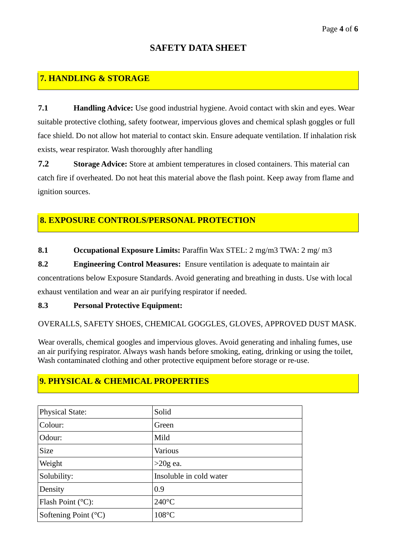#### Page **4** of **6**

# **SAFETY DATA SHEET**

# **7. HANDLING & STORAGE**

**7.1 Handling Advice:** Use good industrial hygiene. Avoid contact with skin and eyes. Wear suitable protective clothing, safety footwear, impervious gloves and chemical splash goggles or full face shield. Do not allow hot material to contact skin. Ensure adequate ventilation. If inhalation risk exists, wear respirator. Wash thoroughly after handling

**7.2 Storage Advice:** Store at ambient temperatures in closed containers. This material can catch fire if overheated. Do not heat this material above the flash point. Keep away from flame and ignition sources.

## **8. EXPOSURE CONTROLS/PERSONAL PROTECTION**

**8.1 Occupational Exposure Limits:** Paraffin Wax STEL: 2 mg/m3 TWA: 2 mg/ m3

**8.2 Engineering Control Measures:** Ensure ventilation is adequate to maintain air concentrations below Exposure Standards. Avoid generating and breathing in dusts. Use with local exhaust ventilation and wear an air purifying respirator if needed.

### **8.3 Personal Protective Equipment:**

OVERALLS, SAFETY SHOES, CHEMICAL GOGGLES, GLOVES, APPROVED DUST MASK.

Wear overalls, chemical googles and impervious gloves. Avoid generating and inhaling fumes, use an air purifying respirator. Always wash hands before smoking, eating, drinking or using the toilet, Wash contaminated clothing and other protective equipment before storage or re-use.

# **9. PHYSICAL & CHEMICAL PROPERTIES**

| <b>Physical State:</b>          | Solid                   |
|---------------------------------|-------------------------|
| Colour:                         | Green                   |
| Odour:                          | Mild                    |
| <b>Size</b>                     | Various                 |
| Weight                          | $>20g$ ea.              |
| Solubility:                     | Insoluble in cold water |
| Density                         | 0.9                     |
| Flash Point $(^{\circ}C)$ :     | $240^{\circ}$ C         |
| Softening Point $({}^{\circ}C)$ | $108^{\circ}$ C         |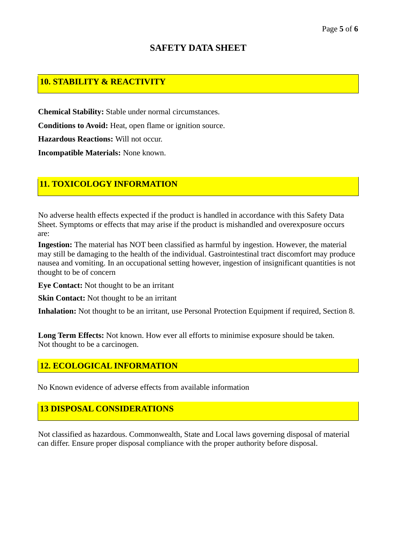# **SAFETY DATA SHEET**

# **10. STABILITY & REACTIVITY**

**Chemical Stability:** Stable under normal circumstances. **Conditions to Avoid:** Heat, open flame or ignition source. **Hazardous Reactions:** Will not occur. **Incompatible Materials:** None known.

# **11. TOXICOLOGY INFORMATION**

No adverse health effects expected if the product is handled in accordance with this Safety Data Sheet. Symptoms or effects that may arise if the product is mishandled and overexposure occurs are:

**Ingestion:** The material has NOT been classified as harmful by ingestion. However, the material may still be damaging to the health of the individual. Gastrointestinal tract discomfort may produce nausea and vomiting. In an occupational setting however, ingestion of insignificant quantities is not thought to be of concern

**Eye Contact:** Not thought to be an irritant

**Skin Contact:** Not thought to be an irritant

**Inhalation:** Not thought to be an irritant, use Personal Protection Equipment if required, Section 8.

**Long Term Effects:** Not known. How ever all efforts to minimise exposure should be taken. Not thought to be a carcinogen.

## **12. ECOLOGICAL INFORMATION**

No Known evidence of adverse effects from available information

## **13 DISPOSAL CONSIDERATIONS**

Not classified as hazardous. Commonwealth, State and Local laws governing disposal of material can differ. Ensure proper disposal compliance with the proper authority before disposal.